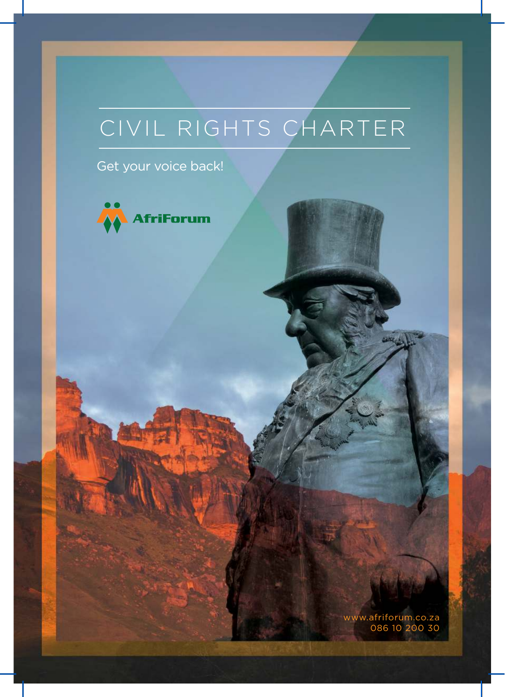# CIVIL RIGHTS CHARTER

Get your voice back!



www.afriforum.co.za 086 10 200 30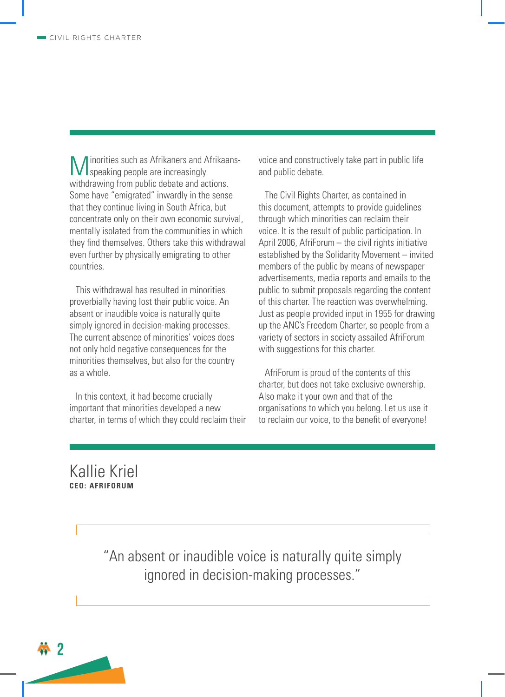**M** inorities such as Afrikaners and Afrikaa<br>withdrawing from public debate and actions. inorities such as Afrikaners and Afrikaansspeaking people are increasingly Some have "emigrated" inwardly in the sense that they continue living in South Africa, but concentrate only on their own economic survival, mentally isolated from the communities in which they find themselves. Others take this withdrawal even further by physically emigrating to other countries.

This withdrawal has resulted in minorities proverbially having lost their public voice. An absent or inaudible voice is naturally quite simply ignored in decision-making processes. The current absence of minorities' voices does not only hold negative consequences for the minorities themselves, but also for the country as a whole.

In this context, it had become crucially important that minorities developed a new charter, in terms of which they could reclaim their voice and constructively take part in public life and public debate.

The Civil Rights Charter, as contained in this document, attempts to provide guidelines through which minorities can reclaim their voice. It is the result of public participation. In April 2006, AfriForum – the civil rights initiative established by the Solidarity Movement – invited members of the public by means of newspaper advertisements, media reports and emails to the public to submit proposals regarding the content of this charter. The reaction was overwhelming. Just as people provided input in 1955 for drawing up the ANC's Freedom Charter, so people from a variety of sectors in society assailed AfriForum with suggestions for this charter.

AfriForum is proud of the contents of this charter, but does not take exclusive ownership. Also make it your own and that of the organisations to which you belong. Let us use it to reclaim our voice, to the benefit of everyone!

### Kallie Kriel **CEO: AFRIFORUM**

"An absent or inaudible voice is naturally quite simply ignored in decision-making processes."

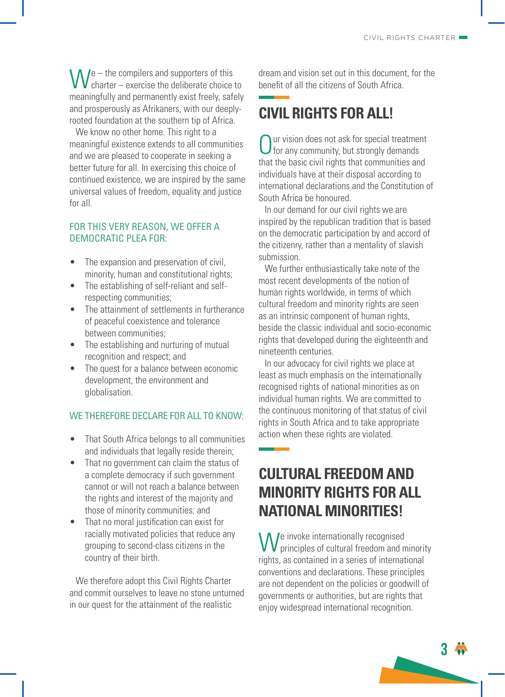$W_{\text{chart}}$  – the compilers and supporters of this charter – exercise the deliberate choice  $\mathsf{V}$  charter – exercise the deliberate choice to meaningfully and permanently exist freely, safely and prosperously as Afrikaners, with our deeplyrooted foundation at the southern tip of Africa.

We know no other home. This right to a meaningful existence extends to all communities and we are pleased to cooperate in seeking a better future for all. In exercising this choice of continued existence, we are inspired by the same universal values of freedom, equality and justice for all.

#### FOR THIS VERY REASON, WE OFFER A DEMOCRATIC PLEA FOR:

- The expansion and preservation of civil. minority, human and constitutional rights;
- The establishing of self-reliant and selfrespecting communities;
- The attainment of settlements in furtherance of peaceful coexistence and tolerance between communities;
- The establishing and nurturing of mutual recognition and respect; and
- The quest for a balance between economic development, the environment and globalisation.

#### WE THEREFORE DECLARE FOR ALL TO KNOW:

- That South Africa belongs to all communities and individuals that legally reside therein;
- That no government can claim the status of a complete democracy if such government cannot or will not reach a balance between the rights and interest of the majority and those of minority communities; and
- That no moral justification can exist for racially motivated policies that reduce any grouping to second-class citizens in the country of their birth.

We therefore adopt this Civil Rights Charter and commit ourselves to leave no stone unturned in our quest for the attainment of the realistic

dream and vision set out in this document, for the benefit of all the citizens of South Africa.

## **CIVIL RIGHTS FOR ALL!**

Our vision does not ask for special treatment<br>for any community, but strongly demands<br>that the basic civil rights that communities and ur vision does not ask for special treatment  $J$  for any community, but strongly demands individuals have at their disposal according to international declarations and the Constitution of South Africa be honoured.

In our demand for our civil rights we are inspired by the republican tradition that is based on the democratic participation by and accord of the citizenry, rather than a mentality of slavish submission.

We further enthusiastically take note of the most recent developments of the notion of human rights worldwide, in terms of which cultural freedom and minority rights are seen as an intrinsic component of human rights, beside the classic individual and socio-economic rights that developed during the eighteenth and nineteenth centuries.

In our advocacy for civil rights we place at least as much emphasis on the internationally recognised rights of national minorities as on individual human rights. We are committed to the continuous monitoring of that status of civil rights in South Africa and to take appropriate action when these rights are violated.

### **CULTURAL FREEDOM AND MINORITY RIGHTS FOR ALL NATIONAL MINORITIES!**

We invoke internationally recognised<br>principles of cultural freedom and n principles of cultural freedom and minority rights, as contained in a series of international conventions and declarations. These principles are not dependent on the policies or goodwill of governments or authorities, but are rights that enjoy widespread international recognition.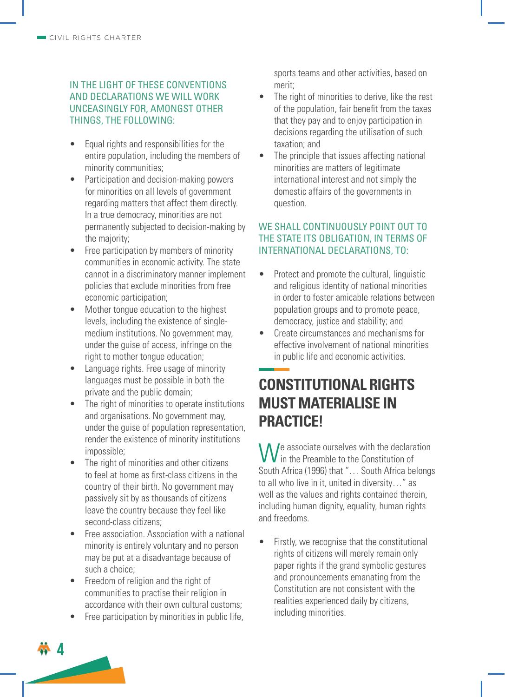#### IN THE LIGHT OF THESE CONVENTIONS AND DECLARATIONS WE WILL WORK UNCEASINGLY FOR, AMONGST OTHER THINGS, THE FOLLOWING:

- Equal rights and responsibilities for the entire population, including the members of minority communities;
- Participation and decision-making powers for minorities on all levels of government regarding matters that affect them directly. In a true democracy, minorities are not permanently subjected to decision-making by the majority;
- Free participation by members of minority communities in economic activity. The state cannot in a discriminatory manner implement policies that exclude minorities from free economic participation;
- Mother tongue education to the highest levels, including the existence of singlemedium institutions. No government may, under the guise of access, infringe on the right to mother tongue education;
- Language rights. Free usage of minority languages must be possible in both the private and the public domain;
- The right of minorities to operate institutions and organisations. No government may, under the guise of population representation, render the existence of minority institutions impossible;
- The right of minorities and other citizens to feel at home as first-class citizens in the country of their birth. No government may passively sit by as thousands of citizens leave the country because they feel like second-class citizens;
- Free association. Association with a national minority is entirely voluntary and no person may be put at a disadvantage because of such a choice;
- Freedom of religion and the right of communities to practise their religion in accordance with their own cultural customs;
- Free participation by minorities in public life,

**4**

sports teams and other activities, based on merit;

- The right of minorities to derive, like the rest of the population, fair benefit from the taxes that they pay and to enjoy participation in decisions regarding the utilisation of such taxation; and
- The principle that issues affecting national minorities are matters of legitimate international interest and not simply the domestic affairs of the governments in question.

#### WE SHALL CONTINUOUSLY POINT OUT TO THE STATE ITS OBLIGATION, IN TERMS OF INTERNATIONAL DECLARATIONS, TO:

- Protect and promote the cultural, linguistic and religious identity of national minorities in order to foster amicable relations between population groups and to promote peace, democracy, justice and stability; and
- Create circumstances and mechanisms for effective involvement of national minorities in public life and economic activities.

### **CONSTITUTIONAL RIGHTS MUST MATERIALISE IN PRACTICE!**

We associate ourselves with the declaration<br>in the Preamble to the Constitution of in the Preamble to the Constitution of South Africa (1996) that "… South Africa belongs to all who live in it, united in diversity…" as well as the values and rights contained therein, including human dignity, equality, human rights and freedoms.

Firstly, we recognise that the constitutional rights of citizens will merely remain only paper rights if the grand symbolic gestures and pronouncements emanating from the Constitution are not consistent with the realities experienced daily by citizens, including minorities.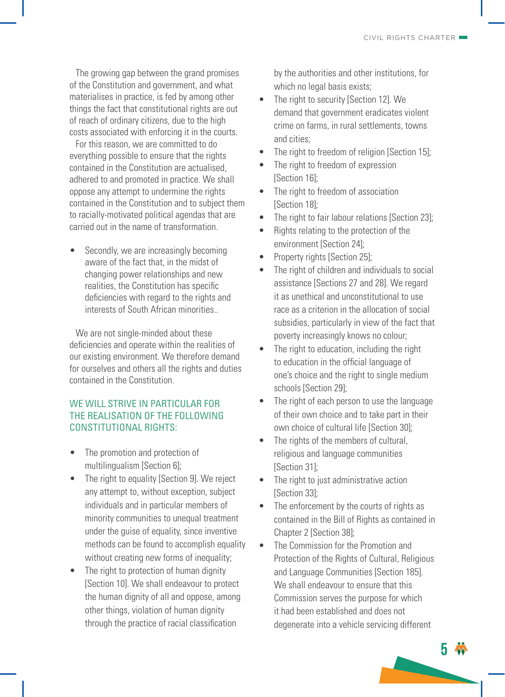The growing gap between the grand promises of the Constitution and government, and what materialises in practice, is fed by among other things the fact that constitutional rights are out of reach of ordinary citizens, due to the high costs associated with enforcing it in the courts.

For this reason, we are committed to do everything possible to ensure that the rights contained in the Constitution are actualised, adhered to and promoted in practice. We shall oppose any attempt to undermine the rights contained in the Constitution and to subject them to racially-motivated political agendas that are carried out in the name of transformation.

Secondly, we are increasingly becoming aware of the fact that, in the midst of changing power relationships and new realities, the Constitution has specific deficiencies with regard to the rights and interests of South African minorities..

We are not single-minded about these deficiencies and operate within the realities of our existing environment. We therefore demand for ourselves and others all the rights and duties contained in the Constitution.

#### WE WILL STRIVE IN PARTICULAR FOR THE REALISATION OF THE FOLLOWING CONSTITUTIONAL RIGHTS:

- The promotion and protection of multilingualism [Section 6];
- The right to equality [Section 9]. We reject any attempt to, without exception, subject individuals and in particular members of minority communities to unequal treatment under the guise of equality, since inventive methods can be found to accomplish equality without creating new forms of inequality;
- The right to protection of human dignity [Section 10]. We shall endeavour to protect the human dignity of all and oppose, among other things, violation of human dignity through the practice of racial classification

by the authorities and other institutions, for which no legal basis exists:

- The right to security [Section 12]. We demand that government eradicates violent crime on farms, in rural settlements, towns and cities;
- The right to freedom of religion [Section 15];
- The right to freedom of expression [Section 16]:
- The right to freedom of association [Section 18];
- The right to fair labour relations [Section 23];
- Rights relating to the protection of the environment [Section 24];
- Property rights [Section 25];
- The right of children and individuals to social assistance [Sections 27 and 28]. We regard it as unethical and unconstitutional to use race as a criterion in the allocation of social subsidies, particularly in view of the fact that poverty increasingly knows no colour;
- The right to education, including the right to education in the official language of one's choice and the right to single medium schools [Section 29];
- The right of each person to use the language of their own choice and to take part in their own choice of cultural life [Section 30];
- The rights of the members of cultural, religious and language communities [Section 31];
- The right to just administrative action [Section 33];
- The enforcement by the courts of rights as contained in the Bill of Rights as contained in Chapter 2 [Section 38];
- The Commission for the Promotion and Protection of the Rights of Cultural, Religious and Language Communities [Section 185]. We shall endeavour to ensure that this Commission serves the purpose for which it had been established and does not degenerate into a vehicle servicing different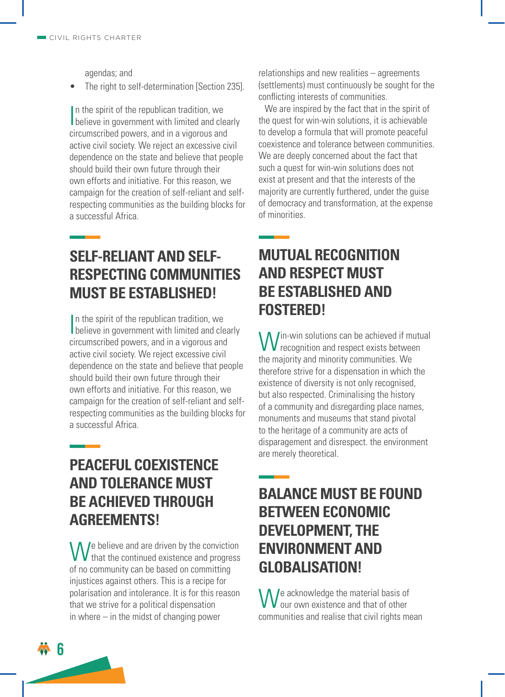agendas; and

The right to self-determination [Section 235].

In the spirit of the republican tradition, we<br>believe in government with limited and clearly n the spirit of the republican tradition, we circumscribed powers, and in a vigorous and active civil society. We reject an excessive civil dependence on the state and believe that people should build their own future through their own efforts and initiative. For this reason, we campaign for the creation of self-reliant and selfrespecting communities as the building blocks for a successful Africa.

## **SELF-RELIANT AND SELF-RESPECTING COMMUNITIES MUST BE ESTABLISHED!**

In the spirit of the republican tradition, we<br>believe in government with limited and clearly In the spirit of the republican tradition, we circumscribed powers, and in a vigorous and active civil society. We reject excessive civil dependence on the state and believe that people should build their own future through their own efforts and initiative. For this reason, we campaign for the creation of self-reliant and selfrespecting communities as the building blocks for a successful Africa.

### **PEACEFUL COEXISTENCE AND TOLERANCE MUST BE ACHIEVED THROUGH AGREEMENTS!**

We believe and are driven by the conviction<br>
We that the continued existence and progress  $\mathsf{\mathsf{V}}$  that the continued existence and progress of no community can be based on committing injustices against others. This is a recipe for polarisation and intolerance. It is for this reason that we strive for a political dispensation in where – in the midst of changing power

relationships and new realities – agreements (settlements) must continuously be sought for the conflicting interests of communities.

We are inspired by the fact that in the spirit of the quest for win-win solutions, it is achievable to develop a formula that will promote peaceful coexistence and tolerance between communities. We are deeply concerned about the fact that such a quest for win-win solutions does not exist at present and that the interests of the majority are currently furthered, under the guise of democracy and transformation, at the expense of minorities.

### **MUTUAL RECOGNITION AND RESPECT MUST BE ESTABLISHED AND FOSTERED!**

**W** in-win solutions can be achieved if mutual<br>recognition and respect exists between recognition and respect exists between the majority and minority communities. We therefore strive for a dispensation in which the existence of diversity is not only recognised, but also respected. Criminalising the history of a community and disregarding place names, monuments and museums that stand pivotal to the heritage of a community are acts of disparagement and disrespect. the environment are merely theoretical.

### **BALANCE MUST BE FOUND BETWEEN ECONOMIC DEVELOPMENT, THE ENVIRONMENT AND GLOBALISATION!**

We acknowledge the material basis of<br>communities and realise that civil rights mean **J**e acknowledge the material basis of our own existence and that of other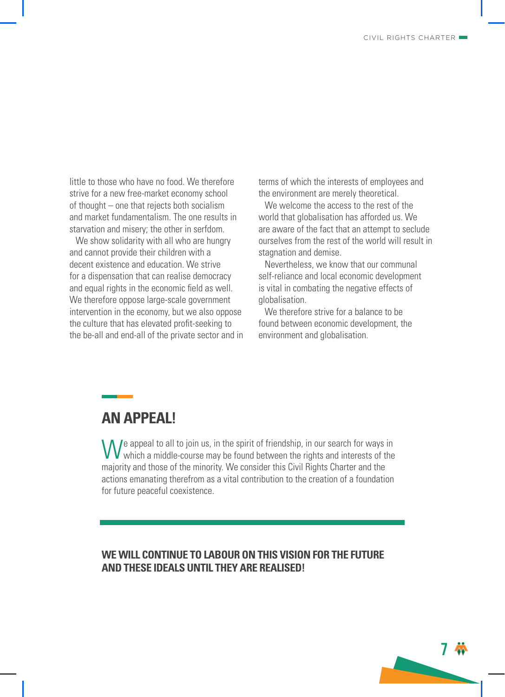**7**

little to those who have no food. We therefore strive for a new free-market economy school of thought – one that rejects both socialism and market fundamentalism. The one results in starvation and misery; the other in serfdom.

We show solidarity with all who are hungry and cannot provide their children with a decent existence and education. We strive for a dispensation that can realise democracy and equal rights in the economic field as well. We therefore oppose large-scale government intervention in the economy, but we also oppose the culture that has elevated profit-seeking to the be-all and end-all of the private sector and in terms of which the interests of employees and the environment are merely theoretical.

We welcome the access to the rest of the world that globalisation has afforded us. We are aware of the fact that an attempt to seclude ourselves from the rest of the world will result in stagnation and demise.

Nevertheless, we know that our communal self-reliance and local economic development is vital in combating the negative effects of globalisation.

We therefore strive for a balance to be found between economic development, the environment and globalisation.

### **AN APPEAL!**

We appeal to all to join us, in the spirit of friendship, in our search for ways in which a middle-course may be found between the rights and interests of the which a middle-course may be found between the rights and interests of the majority and those of the minority. We consider this Civil Rights Charter and the actions emanating therefrom as a vital contribution to the creation of a foundation for future peaceful coexistence.

#### **WE WILL CONTINUE TO LABOUR ON THIS VISION FOR THE FUTURE AND THESE IDEALS UNTIL THEY ARE REALISED!**